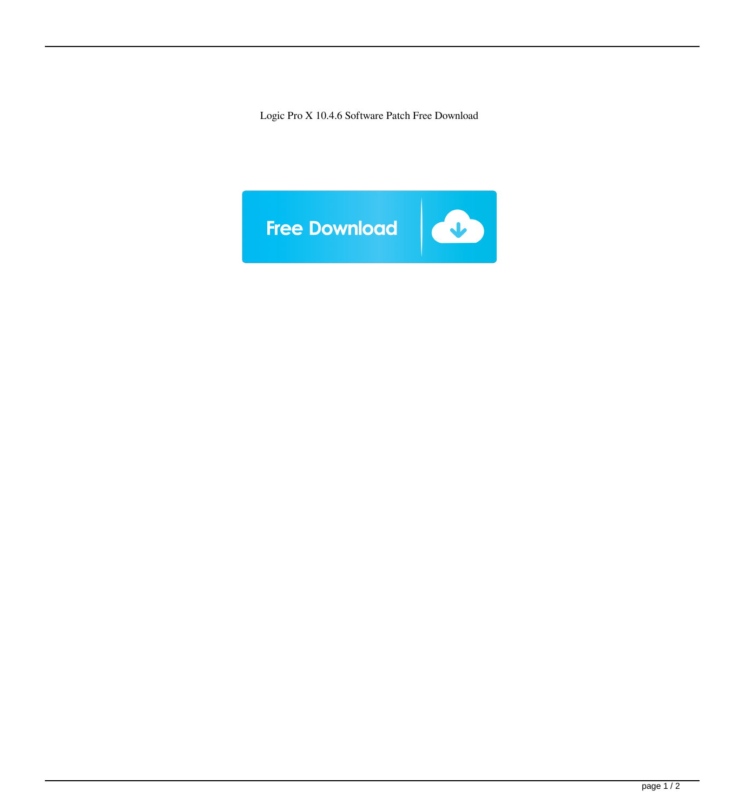Logic Pro X 10.4.6 Software Patch Free Download